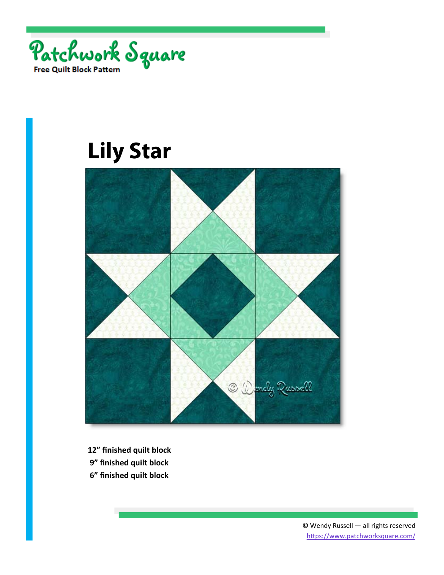



- **12" finished quilt block**
- **9" finished quilt block**
- **6" finished quilt block**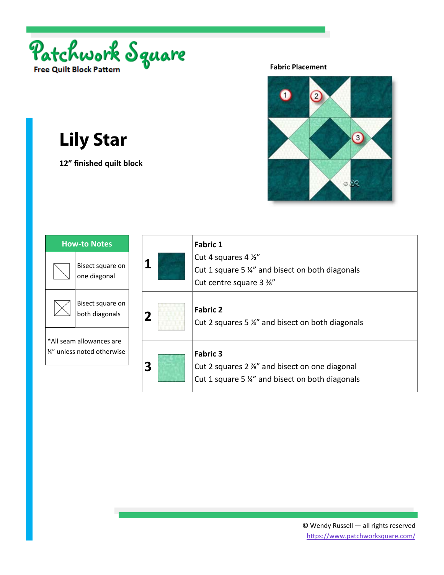

**12" finished quilt block** 

### **Fabric Placement**



| <b>How-to Notes</b>                                     |                                    |
|---------------------------------------------------------|------------------------------------|
|                                                         | Bisect square on<br>one diagonal   |
|                                                         | Bisect square on<br>both diagonals |
| *All seam allowances are<br>1/4" unless noted otherwise |                                    |
|                                                         |                                    |

| 1 | <b>Fabric 1</b><br>Cut 4 squares 4 1/2"<br>Cut 1 square 5 %" and bisect on both diagonals<br>Cut centre square 3 %" |
|---|---------------------------------------------------------------------------------------------------------------------|
| 2 | <b>Fabric 2</b><br>Cut 2 squares 5 %" and bisect on both diagonals                                                  |
| 3 | <b>Fabric 3</b><br>Cut 2 squares 2 %" and bisect on one diagonal<br>Cut 1 square 5 %" and bisect on both diagonals  |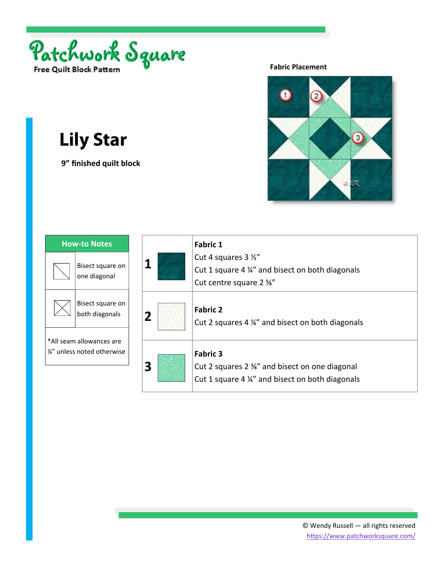

 **9" finished quilt block** 

### **Fabric Placement**



| <b>How-to Notes</b>                                     |                                    |
|---------------------------------------------------------|------------------------------------|
|                                                         | Bisect square on<br>one diagonal   |
|                                                         | Bisect square on<br>both diagonals |
| *All seam allowances are<br>1/2" unless noted otherwise |                                    |
|                                                         |                                    |

| 1 | <b>Fabric 1</b><br>Cut 4 squares 3 1/2"<br>Cut 1 square 4 1/4" and bisect on both diagonals<br>Cut centre square 2 %" |
|---|-----------------------------------------------------------------------------------------------------------------------|
| 2 | <b>Fabric 2</b><br>Cut 2 squares 4 ¼" and bisect on both diagonals                                                    |
| 3 | <b>Fabric 3</b><br>Cut 2 squares 2 %" and bisect on one diagonal<br>Cut 1 square 4 %" and bisect on both diagonals    |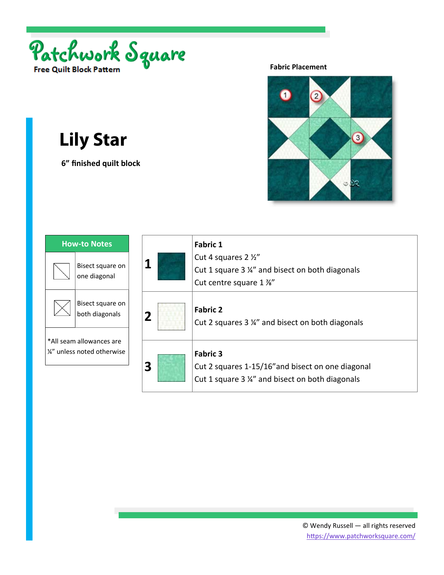

 **6" finished quilt block** 

### **Fabric Placement**



| <b>How-to Notes</b>                                     |                                    |
|---------------------------------------------------------|------------------------------------|
|                                                         | Bisect square on<br>one diagonal   |
|                                                         | Bisect square on<br>both diagonals |
| *All seam allowances are<br>1/2" unless noted otherwise |                                    |
|                                                         |                                    |

| 1 | <b>Fabric 1</b><br>Cut 4 squares 2 1/2"<br>Cut 1 square 3 1/4" and bisect on both diagonals<br>Cut centre square 1 %"  |
|---|------------------------------------------------------------------------------------------------------------------------|
| 2 | <b>Fabric 2</b><br>Cut 2 squares 3 ¼" and bisect on both diagonals                                                     |
| 3 | <b>Fabric 3</b><br>Cut 2 squares 1-15/16" and bisect on one diagonal<br>Cut 1 square 3 %" and bisect on both diagonals |